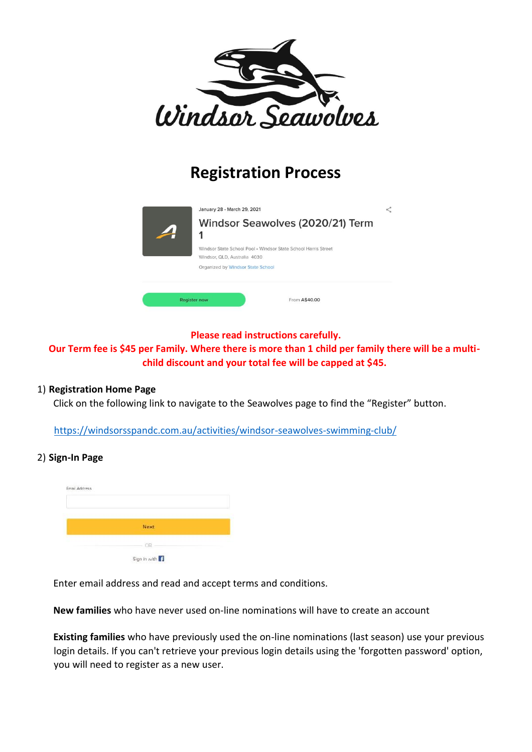

# **Registration Process**



### **Please read instructions carefully.**

**Our Term fee is \$45 per Family. Where there is more than 1 child per family there will be a multichild discount and your total fee will be capped at \$45.** 

### 1) **Registration Home Page**

Click on the following link to navigate to the Seawolves page to find the "Register" button.

https://windsorsspandc.com.au/activities/windsor-seawolves-swimming-club/

### 2) **Sign-In Page**



Enter email address and read and accept terms and conditions.

**New families** who have never used on-line nominations will have to create an account

**Existing families** who have previously used the on-line nominations (last season) use your previous login details. If you can't retrieve your previous login details using the 'forgotten password' option, you will need to register as a new user.